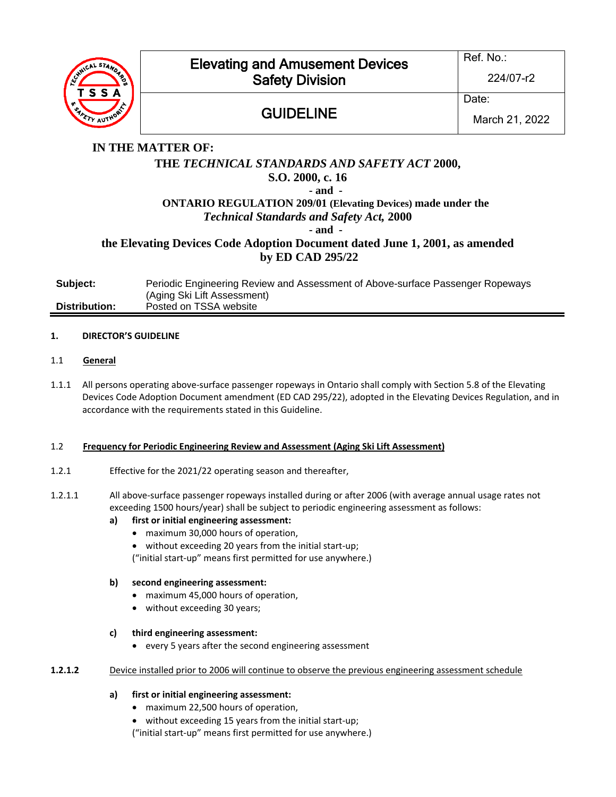

# Elevating and Amusement Devices Safety Division

# **GUIDELINE**

Ref. No.:

224/07-r2

Date:

March 21, 2022

# **IN THE MATTER OF: THE** *TECHNICAL STANDARDS AND SAFETY ACT* **2000, S.O. 2000, c. 16 - and - ONTARIO REGULATION 209/01 (Elevating Devices) made under the** *Technical Standards and Safety Act,* **2000 - and the Elevating Devices Code Adoption Document dated June 1, 2001, as amended by ED CAD 295/22**

| Subject:      | Periodic Engineering Review and Assessment of Above-surface Passenger Ropeways<br>(Aging Ski Lift Assessment) |
|---------------|---------------------------------------------------------------------------------------------------------------|
| Distribution: | Posted on TSSA website                                                                                        |

# **1. DIRECTOR'S GUIDELINE**

- 1.1 **General**
- 1.1.1 All persons operating above-surface passenger ropeways in Ontario shall comply with Section 5.8 of the Elevating Devices Code Adoption Document amendment (ED CAD 295/22), adopted in the Elevating Devices Regulation, and in accordance with the requirements stated in this Guideline.

# 1.2 **Frequency for Periodic Engineering Review and Assessment (Aging Ski Lift Assessment)**

- 1.2.1 Effective for the 2021/22 operating season and thereafter,
- 1.2.1.1 All above-surface passenger ropeways installed during or after 2006 (with average annual usage rates not exceeding 1500 hours/year) shall be subject to periodic engineering assessment as follows:

# **a) first or initial engineering assessment:**

- maximum 30,000 hours of operation,
- without exceeding 20 years from the initial start-up;

("initial start-up" means first permitted for use anywhere.)

# **b) second engineering assessment:**

- maximum 45,000 hours of operation,
- without exceeding 30 years;

# **c) third engineering assessment:**

• every 5 years after the second engineering assessment

# **1.2.1.2** Device installed prior to 2006 will continue to observe the previous engineering assessment schedule

# **a) first or initial engineering assessment:**

- maximum 22,500 hours of operation,
- without exceeding 15 years from the initial start-up;

("initial start-up" means first permitted for use anywhere.)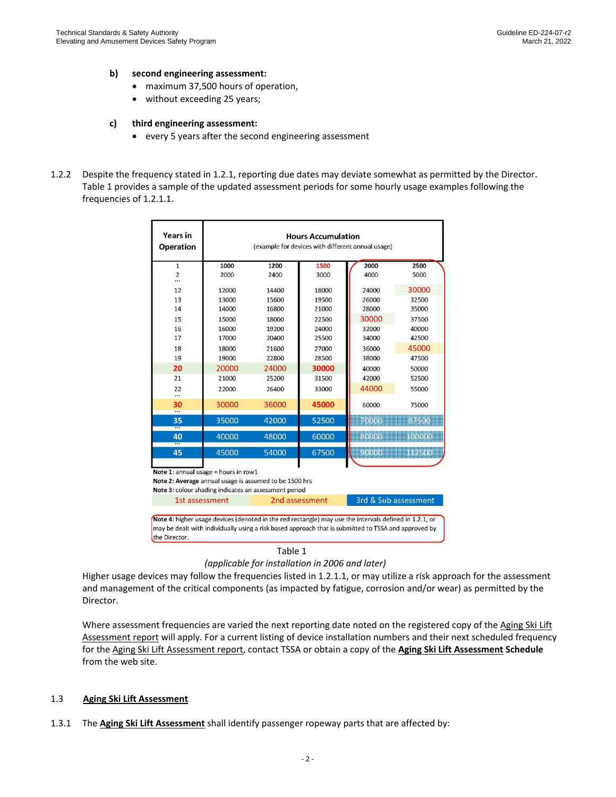#### **b) second engineering assessment:**

- maximum 37,500 hours of operation,
- without exceeding 25 years;

#### **c) third engineering assessment:**

- every 5 years after the second engineering assessment
- 1.2.2 Despite the frequency stated in 1.2.1, reporting due dates may deviate somewhat as permitted by the Director. Table 1 provides a sample of the updated assessment periods for some hourly usage examples following the frequencies of 1.2.1.1.

| Years in<br><b>Operation</b>                                                                                                                                                                                                    | <b>Hours Accumulation</b><br>(example for devices with different annual usage) |                |       |                      |         |  |  |
|---------------------------------------------------------------------------------------------------------------------------------------------------------------------------------------------------------------------------------|--------------------------------------------------------------------------------|----------------|-------|----------------------|---------|--|--|
| $\mathbf{1}$                                                                                                                                                                                                                    | 1000                                                                           | 1200           | 1500  | 2000                 | 2500    |  |  |
| $\overline{2}$<br>                                                                                                                                                                                                              | 2000                                                                           | 2400           | 3000  | 4000                 | 5000    |  |  |
| 12                                                                                                                                                                                                                              | 12000                                                                          | 14400          | 18000 | 24000                | 30000   |  |  |
| 13                                                                                                                                                                                                                              | 13000                                                                          | 15600          | 19500 | 26000                | 32500   |  |  |
| 14                                                                                                                                                                                                                              | 14000                                                                          | 16800          | 21000 | 28000                | 35000   |  |  |
| 15                                                                                                                                                                                                                              | 15000                                                                          | 18000          | 22500 | 30000                | 37500   |  |  |
| 16                                                                                                                                                                                                                              | 16000                                                                          | 19200          | 24000 | 32000                | 40000   |  |  |
| 17                                                                                                                                                                                                                              | 17000                                                                          | 20400          | 25500 | 34000                | 42500   |  |  |
| 18                                                                                                                                                                                                                              | 18000                                                                          | 21600          | 27000 | 36000                | 45000   |  |  |
| 19                                                                                                                                                                                                                              | 19000                                                                          | 22800          | 28500 | 38000                | 47500   |  |  |
| 20                                                                                                                                                                                                                              | 20000                                                                          | 24000          | 30000 | 40000                | 50000   |  |  |
| 21                                                                                                                                                                                                                              | 21000                                                                          | 25200          | 31500 | 42000                | 52500   |  |  |
| 22<br>$\cdots$                                                                                                                                                                                                                  | 22000                                                                          | 26400          | 33000 | 44000                | 55000   |  |  |
| 30<br>                                                                                                                                                                                                                          | 30000                                                                          | 36000          | 45000 | 60000                | 75000   |  |  |
| 35                                                                                                                                                                                                                              | 35000                                                                          | 42000          | 52500 | 70000                | 87500   |  |  |
| 40                                                                                                                                                                                                                              | 40000                                                                          | 48000          | 60000 | 80000                | noomon. |  |  |
| 45                                                                                                                                                                                                                              | 45000                                                                          | 54000          | 67500 | 90000                | 112500  |  |  |
| Note 1: annual usage = hours in row1<br>Note 2: Average annual usage is assumed to be 1500 hrs<br>Note 3: colour shading indicates an assessment period                                                                         |                                                                                |                |       |                      |         |  |  |
| 1st assessment                                                                                                                                                                                                                  |                                                                                | 2nd assessment |       | 3rd & Sub assessment |         |  |  |
| Note 4: higher usage devices (denoted in the red rectangle) may use the intervals defined in 1.2.1, or<br>may be dealt with individually using a risk based approach that is submitted to TSSA and approved by<br>the Director. |                                                                                |                |       |                      |         |  |  |

Table 1

```
(applicable for installation in 2006 and later)
```
Higher usage devices may follow the frequencies listed in 1.2.1.1, or may utilize a risk approach for the assessment and management of the critical components (as impacted by fatigue, corrosion and/or wear) as permitted by the Director.

Where assessment frequencies are varied the next reporting date noted on the registered copy of the Aging Ski Lift Assessment report will apply. For a current listing of device installation numbers and their next scheduled frequency for the Aging Ski Lift Assessment report, contact TSSA or obtain a copy of the **Aging Ski Lift Assessment Schedule** from the web site.

#### 1.3 **Aging Ski Lift Assessment**

1.3.1 The **Aging Ski Lift Assessment** shall identify passenger ropeway parts that are affected by: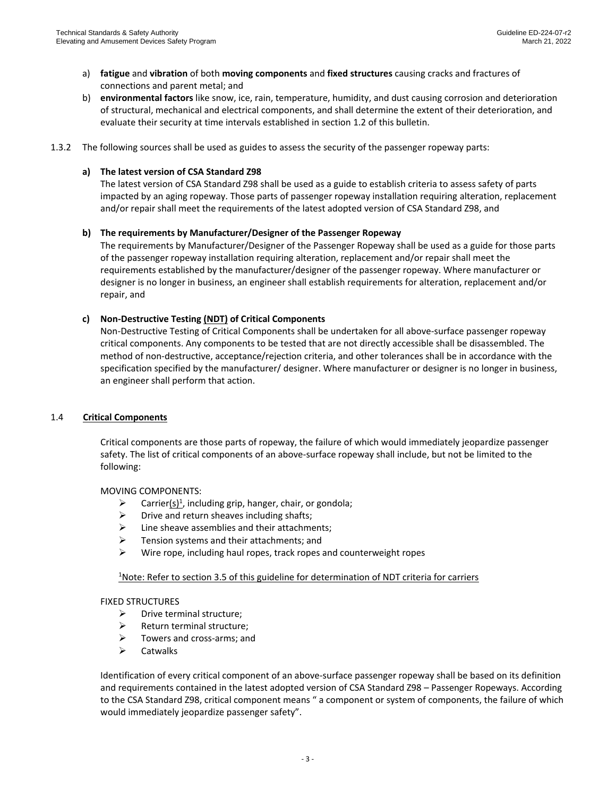- a) **fatigue** and **vibration** of both **moving components** and **fixed structures** causing cracks and fractures of connections and parent metal; and
- b) **environmental factors** like snow, ice, rain, temperature, humidity, and dust causing corrosion and deterioration of structural, mechanical and electrical components, and shall determine the extent of their deterioration, and evaluate their security at time intervals established in section 1.2 of this bulletin.
- 1.3.2 The following sources shall be used as guides to assess the security of the passenger ropeway parts:

### **a) The latest version of CSA Standard Z98**

The latest version of CSA Standard Z98 shall be used as a guide to establish criteria to assess safety of parts impacted by an aging ropeway. Those parts of passenger ropeway installation requiring alteration, replacement and/or repair shall meet the requirements of the latest adopted version of CSA Standard Z98, and

## **b) The requirements by Manufacturer/Designer of the Passenger Ropeway**

The requirements by Manufacturer/Designer of the Passenger Ropeway shall be used as a guide for those parts of the passenger ropeway installation requiring alteration, replacement and/or repair shall meet the requirements established by the manufacturer/designer of the passenger ropeway. Where manufacturer or designer is no longer in business, an engineer shall establish requirements for alteration, replacement and/or repair, and

## **c) Non-Destructive Testing (NDT) of Critical Components**

Non-Destructive Testing of Critical Components shall be undertaken for all above-surface passenger ropeway critical components. Any components to be tested that are not directly accessible shall be disassembled. The method of non-destructive, acceptance/rejection criteria, and other tolerances shall be in accordance with the specification specified by the manufacturer/ designer. Where manufacturer or designer is no longer in business, an engineer shall perform that action.

### 1.4 **Critical Components**

Critical components are those parts of ropeway, the failure of which would immediately jeopardize passenger safety. The list of critical components of an above-surface ropeway shall include, but not be limited to the following:

MOVING COMPONENTS:

- $\triangleright$  Carrier(s)<sup>1</sup>, including grip, hanger, chair, or gondola;
- $\triangleright$  Drive and return sheaves including shafts;
- $\triangleright$  Line sheave assemblies and their attachments;
- ➢ Tension systems and their attachments; and
- ➢ Wire rope, including haul ropes, track ropes and counterweight ropes

### <sup>1</sup>Note: Refer to section 3.5 of this guideline for determination of NDT criteria for carriers

### FIXED STRUCTURES

- $\triangleright$  Drive terminal structure:
- ➢ Return terminal structure;
- ➢ Towers and cross-arms; and
- ➢ Catwalks

Identification of every critical component of an above-surface passenger ropeway shall be based on its definition and requirements contained in the latest adopted version of CSA Standard Z98 – Passenger Ropeways. According to the CSA Standard Z98, critical component means " a component or system of components, the failure of which would immediately jeopardize passenger safety".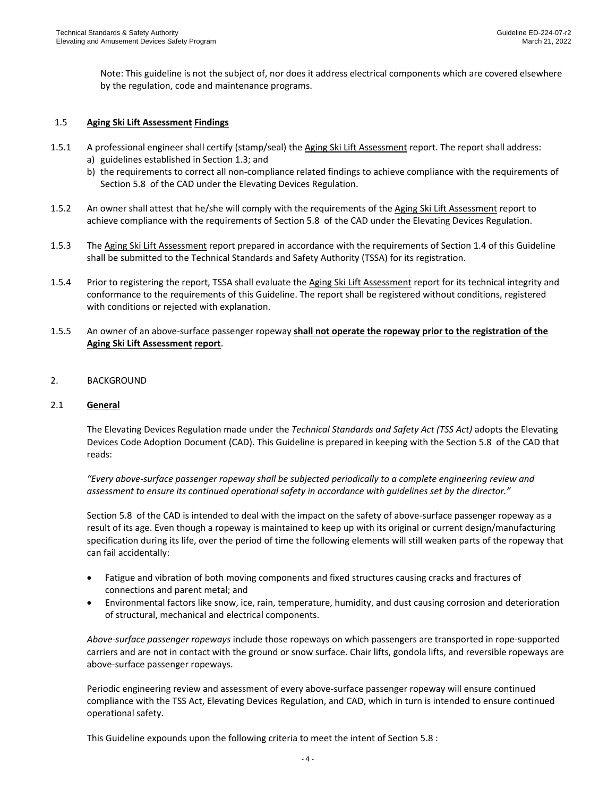Note: This guideline is not the subject of, nor does it address electrical components which are covered elsewhere by the regulation, code and maintenance programs.

### 1.5 **Aging Ski Lift Assessment Findings**

- 1.5.1 A professional engineer shall certify (stamp/seal) the Aging Ski Lift Assessment report. The report shall address: a) guidelines established in Section 1.3; and
	- b) the requirements to correct all non-compliance related findings to achieve compliance with the requirements of Section 5.8 of the CAD under the Elevating Devices Regulation.
- 1.5.2 An owner shall attest that he/she will comply with the requirements of the Aging Ski Lift Assessment report to achieve compliance with the requirements of Section 5.8 of the CAD under the Elevating Devices Regulation.
- 1.5.3 The Aging Ski Lift Assessment report prepared in accordance with the requirements of Section 1.4 of this Guideline shall be submitted to the Technical Standards and Safety Authority (TSSA) for its registration.
- 1.5.4 Prior to registering the report, TSSA shall evaluate the Aging Ski Lift Assessment report for its technical integrity and conformance to the requirements of this Guideline. The report shall be registered without conditions, registered with conditions or rejected with explanation.
- 1.5.5 An owner of an above-surface passenger ropeway **shall not operate the ropeway prior to the registration of the Aging Ski Lift Assessment report**.
- 2. BACKGROUND

#### 2.1 **General**

The Elevating Devices Regulation made under the *Technical Standards and Safety Act (TSS Act)* adopts the Elevating Devices Code Adoption Document (CAD). This Guideline is prepared in keeping with the Section 5.8 of the CAD that reads:

*"Every above-surface passenger ropeway shall be subjected periodically to a complete engineering review and assessment to ensure its continued operational safety in accordance with guidelines set by the director."*

Section 5.8 of the CAD is intended to deal with the impact on the safety of above-surface passenger ropeway as a result of its age. Even though a ropeway is maintained to keep up with its original or current design/manufacturing specification during its life, over the period of time the following elements will still weaken parts of the ropeway that can fail accidentally:

- Fatigue and vibration of both moving components and fixed structures causing cracks and fractures of connections and parent metal; and
- Environmental factors like snow, ice, rain, temperature, humidity, and dust causing corrosion and deterioration of structural, mechanical and electrical components.

*Above-surface passenger ropeways* include those ropeways on which passengers are transported in rope-supported carriers and are not in contact with the ground or snow surface. Chair lifts, gondola lifts, and reversible ropeways are above-surface passenger ropeways.

Periodic engineering review and assessment of every above-surface passenger ropeway will ensure continued compliance with the TSS Act, Elevating Devices Regulation, and CAD, which in turn is intended to ensure continued operational safety.

This Guideline expounds upon the following criteria to meet the intent of Section 5.8 :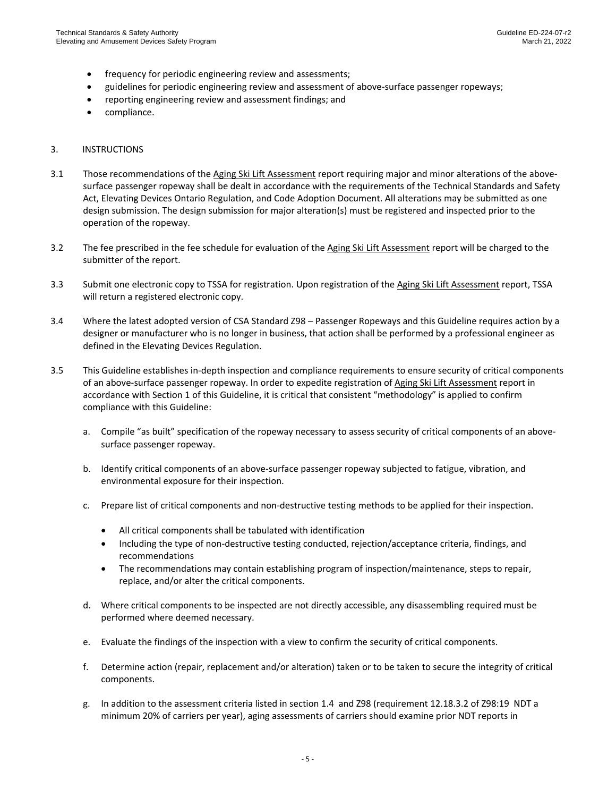- frequency for periodic engineering review and assessments;
- guidelines for periodic engineering review and assessment of above-surface passenger ropeways;
- reporting engineering review and assessment findings; and
- compliance.

#### 3. INSTRUCTIONS

- 3.1 Those recommendations of the Aging Ski Lift Assessment report requiring major and minor alterations of the abovesurface passenger ropeway shall be dealt in accordance with the requirements of the Technical Standards and Safety Act, Elevating Devices Ontario Regulation, and Code Adoption Document. All alterations may be submitted as one design submission. The design submission for major alteration(s) must be registered and inspected prior to the operation of the ropeway.
- 3.2 The fee prescribed in the fee schedule for evaluation of the Aging Ski Lift Assessment report will be charged to the submitter of the report.
- 3.3 Submit one electronic copy to TSSA for registration. Upon registration of the Aging Ski Lift Assessment report, TSSA will return a registered electronic copy.
- 3.4 Where the latest adopted version of CSA Standard Z98 Passenger Ropeways and this Guideline requires action by a designer or manufacturer who is no longer in business, that action shall be performed by a professional engineer as defined in the Elevating Devices Regulation.
- 3.5 This Guideline establishes in-depth inspection and compliance requirements to ensure security of critical components of an above-surface passenger ropeway. In order to expedite registration of Aging Ski Lift Assessment report in accordance with Section 1 of this Guideline, it is critical that consistent "methodology" is applied to confirm compliance with this Guideline:
	- a. Compile "as built" specification of the ropeway necessary to assess security of critical components of an abovesurface passenger ropeway.
	- b. Identify critical components of an above-surface passenger ropeway subjected to fatigue, vibration, and environmental exposure for their inspection.
	- c. Prepare list of critical components and non-destructive testing methods to be applied for their inspection.
		- All critical components shall be tabulated with identification
		- Including the type of non-destructive testing conducted, rejection/acceptance criteria, findings, and recommendations
		- The recommendations may contain establishing program of inspection/maintenance, steps to repair, replace, and/or alter the critical components.
	- d. Where critical components to be inspected are not directly accessible, any disassembling required must be performed where deemed necessary.
	- e. Evaluate the findings of the inspection with a view to confirm the security of critical components.
	- f. Determine action (repair, replacement and/or alteration) taken or to be taken to secure the integrity of critical components.
	- g. In addition to the assessment criteria listed in section 1.4 and Z98 (requirement 12.18.3.2 of Z98:19 NDT a minimum 20% of carriers per year), aging assessments of carriers should examine prior NDT reports in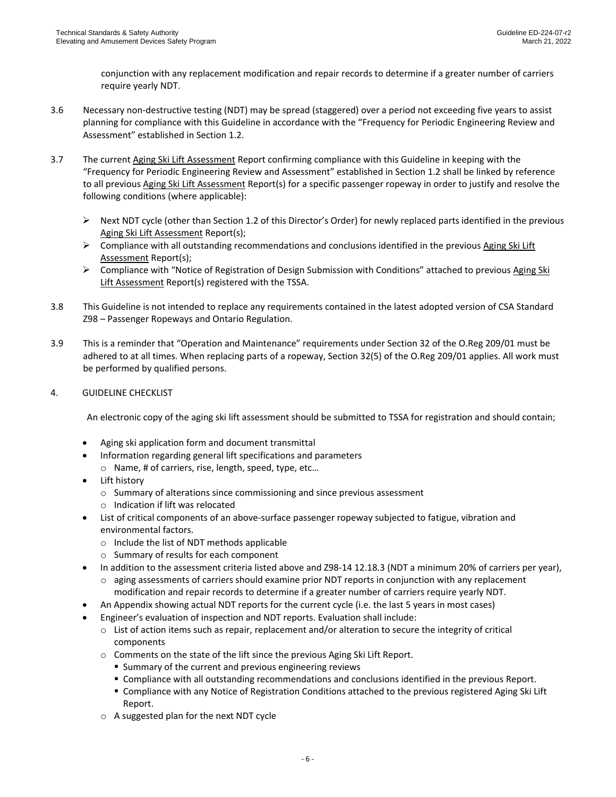conjunction with any replacement modification and repair records to determine if a greater number of carriers require yearly NDT.

- 3.6 Necessary non-destructive testing (NDT) may be spread (staggered) over a period not exceeding five years to assist planning for compliance with this Guideline in accordance with the "Frequency for Periodic Engineering Review and Assessment" established in Section 1.2.
- 3.7 The current Aging Ski Lift Assessment Report confirming compliance with this Guideline in keeping with the "Frequency for Periodic Engineering Review and Assessment" established in Section 1.2 shall be linked by reference to all previous Aging Ski Lift Assessment Report(s) for a specific passenger ropeway in order to justify and resolve the following conditions (where applicable):
	- $\triangleright$  Next NDT cycle (other than Section 1.2 of this Director's Order) for newly replaced parts identified in the previous Aging Ski Lift Assessment Report(s);
	- $\triangleright$  Compliance with all outstanding recommendations and conclusions identified in the previous Aging Ski Lift Assessment Report(s);
	- ➢ Compliance with "Notice of Registration of Design Submission with Conditions" attached to previous Aging Ski Lift Assessment Report(s) registered with the TSSA.
- 3.8 This Guideline is not intended to replace any requirements contained in the latest adopted version of CSA Standard Z98 – Passenger Ropeways and Ontario Regulation.
- 3.9 This is a reminder that "Operation and Maintenance" requirements under Section 32 of the O.Reg 209/01 must be adhered to at all times. When replacing parts of a ropeway, Section 32(5) of the O.Reg 209/01 applies. All work must be performed by qualified persons.
- 4. GUIDELINE CHECKLIST

An electronic copy of the aging ski lift assessment should be submitted to TSSA for registration and should contain;

- Aging ski application form and document transmittal
- Information regarding general lift specifications and parameters o Name, # of carriers, rise, length, speed, type, etc…
- Lift history
	- o Summary of alterations since commissioning and since previous assessment
	- o Indication if lift was relocated
- List of critical components of an above-surface passenger ropeway subjected to fatigue, vibration and environmental factors.
	- o Include the list of NDT methods applicable
	- o Summary of results for each component
- In addition to the assessment criteria listed above and Z98-14 12.18.3 (NDT a minimum 20% of carriers per year),
	- o aging assessments of carriers should examine prior NDT reports in conjunction with any replacement modification and repair records to determine if a greater number of carriers require yearly NDT.
- An Appendix showing actual NDT reports for the current cycle (i.e. the last 5 years in most cases)
- Engineer's evaluation of inspection and NDT reports. Evaluation shall include:
	- o List of action items such as repair, replacement and/or alteration to secure the integrity of critical components
	- o Comments on the state of the lift since the previous Aging Ski Lift Report.
		- Summary of the current and previous engineering reviews
		- **EX Compliance with all outstanding recommendations and conclusions identified in the previous Report.**
		- Compliance with any Notice of Registration Conditions attached to the previous registered Aging Ski Lift Report.
	- o A suggested plan for the next NDT cycle